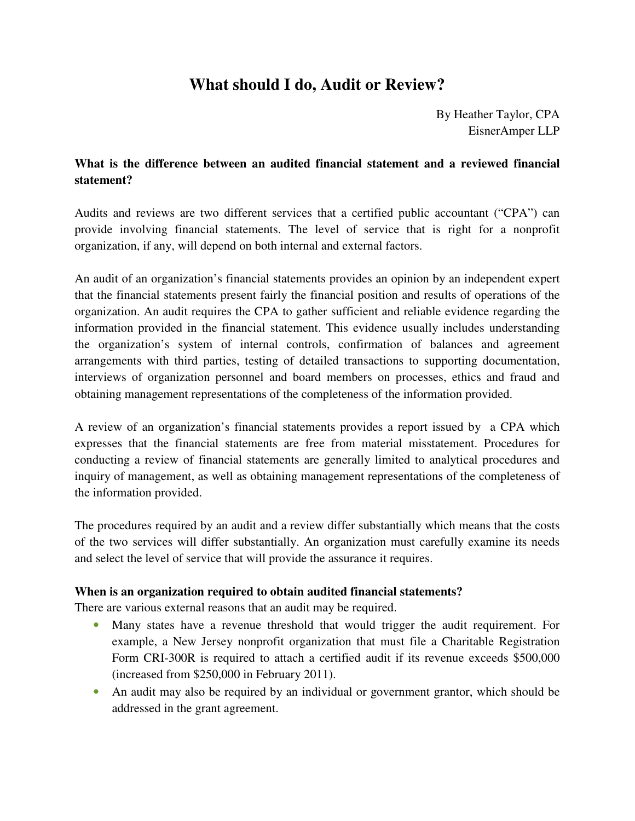# **What should I do, Audit or Review?**

By Heather Taylor, CPA EisnerAmper LLP

## **What is the difference between an audited financial statement and a reviewed financial statement?**

Audits and reviews are two different services that a certified public accountant ("CPA") can provide involving financial statements. The level of service that is right for a nonprofit organization, if any, will depend on both internal and external factors.

An audit of an organization's financial statements provides an opinion by an independent expert that the financial statements present fairly the financial position and results of operations of the organization. An audit requires the CPA to gather sufficient and reliable evidence regarding the information provided in the financial statement. This evidence usually includes understanding the organization's system of internal controls, confirmation of balances and agreement arrangements with third parties, testing of detailed transactions to supporting documentation, interviews of organization personnel and board members on processes, ethics and fraud and obtaining management representations of the completeness of the information provided.

A review of an organization's financial statements provides a report issued by a CPA which expresses that the financial statements are free from material misstatement. Procedures for conducting a review of financial statements are generally limited to analytical procedures and inquiry of management, as well as obtaining management representations of the completeness of the information provided.

The procedures required by an audit and a review differ substantially which means that the costs of the two services will differ substantially. An organization must carefully examine its needs and select the level of service that will provide the assurance it requires.

#### **When is an organization required to obtain audited financial statements?**

There are various external reasons that an audit may be required.

- Many states have a revenue threshold that would trigger the audit requirement. For example, a New Jersey nonprofit organization that must file a Charitable Registration Form CRI-300R is required to attach a certified audit if its revenue exceeds \$500,000 (increased from \$250,000 in February 2011).
- An audit may also be required by an individual or government grantor, which should be addressed in the grant agreement.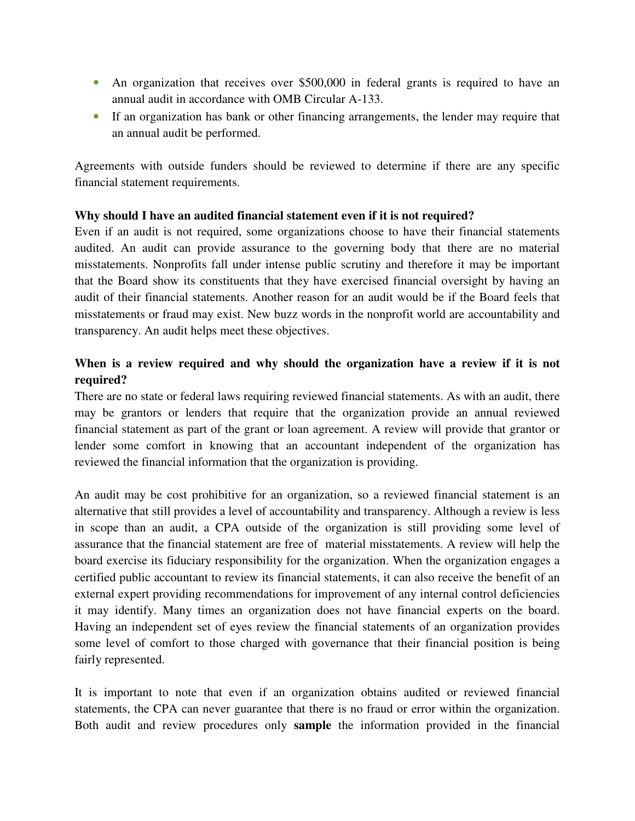- An organization that receives over \$500,000 in federal grants is required to have an annual audit in accordance with OMB Circular A-133.
- If an organization has bank or other financing arrangements, the lender may require that an annual audit be performed.

Agreements with outside funders should be reviewed to determine if there are any specific financial statement requirements.

#### **Why should I have an audited financial statement even if it is not required?**

Even if an audit is not required, some organizations choose to have their financial statements audited. An audit can provide assurance to the governing body that there are no material misstatements. Nonprofits fall under intense public scrutiny and therefore it may be important that the Board show its constituents that they have exercised financial oversight by having an audit of their financial statements. Another reason for an audit would be if the Board feels that misstatements or fraud may exist. New buzz words in the nonprofit world are accountability and transparency. An audit helps meet these objectives.

### **When is a review required and why should the organization have a review if it is not required?**

There are no state or federal laws requiring reviewed financial statements. As with an audit, there may be grantors or lenders that require that the organization provide an annual reviewed financial statement as part of the grant or loan agreement. A review will provide that grantor or lender some comfort in knowing that an accountant independent of the organization has reviewed the financial information that the organization is providing.

An audit may be cost prohibitive for an organization, so a reviewed financial statement is an alternative that still provides a level of accountability and transparency. Although a review is less in scope than an audit, a CPA outside of the organization is still providing some level of assurance that the financial statement are free of material misstatements. A review will help the board exercise its fiduciary responsibility for the organization. When the organization engages a certified public accountant to review its financial statements, it can also receive the benefit of an external expert providing recommendations for improvement of any internal control deficiencies it may identify. Many times an organization does not have financial experts on the board. Having an independent set of eyes review the financial statements of an organization provides some level of comfort to those charged with governance that their financial position is being fairly represented.

It is important to note that even if an organization obtains audited or reviewed financial statements, the CPA can never guarantee that there is no fraud or error within the organization. Both audit and review procedures only **sample** the information provided in the financial